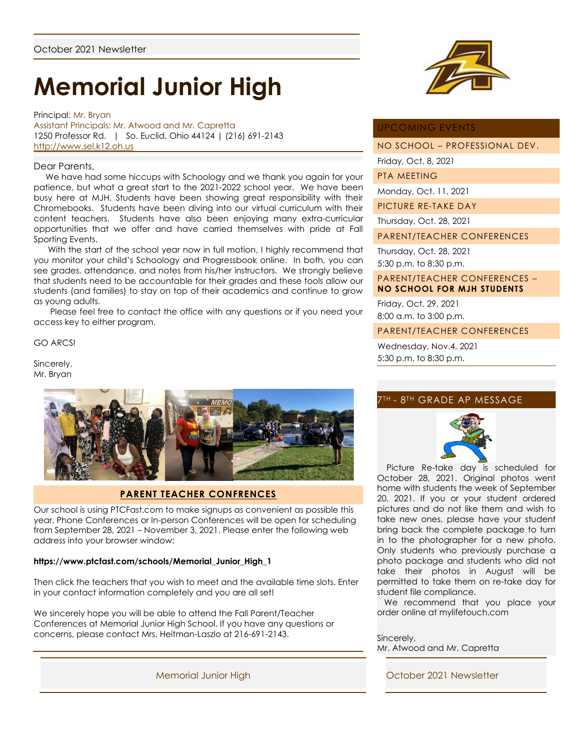# **Memorial Junior High**

Principal: Mr. Bryan Assistant Principals: Mr. Atwood and Mr. Capretta 1250 Professor Rd. | So. Euclid, Ohio 44124 | (216) 691-2143 [http://www.sel.k12.oh.us](http://www.sel.k12.oh.us/)

#### Dear Parents,

 We have had some hiccups with Schoology and we thank you again for your patience, but what a great start to the 2021-2022 school year. We have been busy here at MJH. Students have been showing great responsibility with their Chromebooks. Students have been diving into our virtual curriculum with their content teachers. Students have also been enjoying many extra-curricular opportunities that we offer and have carried themselves with pride at Fall Sporting Events.

 With the start of the school year now in full motion, I highly recommend that you monitor your child's Schoology and Progressbook online. In both, you can see grades, attendance, and notes from his/her instructors. We strongly believe that students need to be accountable for their grades and these tools allow our students (and families) to stay on top of their academics and continue to grow as young adults.

 Please feel free to contact the office with any questions or if you need your access key to either program.

GO ARCS!

Sincerely, Mr. Bryan



# **PARENT TEACHER CONFRENCES**

Our school is using PTCFast.com to make signups as convenient as possible this year. Phone Conferences or In-person Conferences will be open for scheduling from September 28, 2021 – November 3, 2021. Please enter the following web address into your browser window:

#### **https://www.ptcfast.com/schools/Memorial\_Junior\_High\_1**

Then click the teachers that you wish to meet and the available time slots. Enter in your contact information completely and you are all set!

We sincerely hope you will be able to attend the Fall Parent/Teacher Conferences at Memorial Junior High School. If you have any questions or concerns, please contact Mrs. Heitman-Laszlo at 216-691-2143.





### UPCOMING EVENTS

NO SCHOOL – PROFESSIONAL DEV.

Friday, Oct. 8, 2021

PTA MEETING

Monday, Oct. 11, 2021

PICTURE RE-TAKE DAY

Thursday, Oct. 28, 2021

PARENT/TEACHER CONFERENCES

Thursday, Oct. 28, 2021 5:30 p.m. to 8:30 p.m.

PARENT/TEACHER CONFERENCES – **NO SCHOOL FOR MJH STUDENTS**

Friday, Oct. 29, 2021 8:00 a.m. to 3:00 p.m.

PARENT/TEACHER CONFERENCES

Wednesday, Nov.4, 2021 5:30 p.m. to 8:30 p.m.

## 7TH - 8TH GRADE AP MESSAGE



 Picture Re-take day is scheduled for October 28, 2021. Original photos went home with students the week of September 20, 2021. If you or your student ordered pictures and do not like them and wish to take new ones, please have your student bring back the complete package to turn in to the photographer for a new photo. Only students who previously purchase a photo package and students who did not take their photos in August will be permitted to take them on re-take day for student file compliance.

 We recommend that you place your order online at mylifetouch.com

Sincerely, Mr. Atwood and Mr. Capretta

Memorial Junior High **Memorial Junior High Collection** Controller Controller October 2021 Newsletter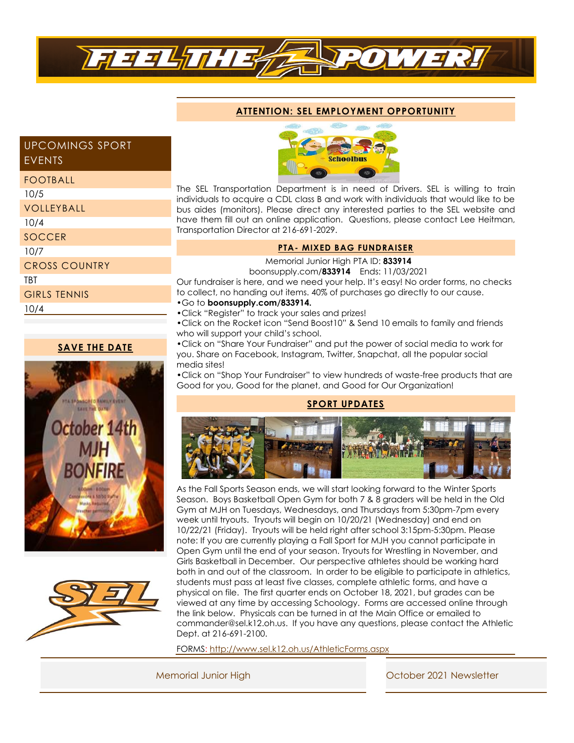

# **ATTENTION: SEL EMPLOYMENT OPPORTUNITY**

# UPCOMINGS SPORT EVENTS

#### FOOTBALL

| 10/5                 |  |
|----------------------|--|
| VOLLEYBALL           |  |
| 10/4                 |  |
| <b>SOCCER</b>        |  |
| 10/7                 |  |
| <b>CROSS COUNTRY</b> |  |
| TBT                  |  |
| <b>GIRLS TENNIS</b>  |  |
| 10/4                 |  |
|                      |  |

## **SAVE THE DATE**







The SEL Transportation Department is in need of Drivers. SEL is willing to train individuals to acquire a CDL class B and work with individuals that would like to be bus aides (monitors). Please direct any interested parties to the SEL website and have them fill out an online application. Questions, please contact Lee Heitman, Transportation Director at 216-691-2029.

## **PTA- MIXED BAG FUNDRAISER**

 Memorial Junior High PTA ID: **833914** boonsupply.com/**833914** Ends: 11/03/2021

Our fundraiser is here, and we need your help. It's easy! No order forms, no checks to collect, no handing out items. 40% of purchases go directly to our cause. **•**Go to **boonsupply.com/833914.**

- **•**Click "Register" to track your sales and prizes!
- **•**Click on the Rocket icon "Send Boost10" & Send 10 emails to family and friends who will support your child's school.

**•**Click on "Share Your Fundraiser" and put the power of social media to work for you. Share on Facebook, Instagram, Twitter, Snapchat, all the popular social media sites!

**•**Click on "Shop Your Fundraiser" to view hundreds of waste-free products that are Good for you, Good for the planet, and Good for Our Organization!

## **SPORT UPDATES**



As the Fall Sports Season ends, we will start looking forward to the Winter Sports Season. Boys Basketball Open Gym for both 7 & 8 graders will be held in the Old Gym at MJH on Tuesdays, Wednesdays, and Thursdays from 5:30pm-7pm every week until tryouts. Tryouts will begin on 10/20/21 (Wednesday) and end on 10/22/21 (Friday). Tryouts will be held right after school 3:15pm-5:30pm. Please note: If you are currently playing a Fall Sport for MJH you cannot participate in Open Gym until the end of your season. Tryouts for Wrestling in November, and Girls Basketball in December. Our perspective athletes should be working hard both in and out of the classroom. In order to be eligible to participate in athletics, students must pass at least five classes, complete athletic forms, and have a physical on file. The first quarter ends on October 18, 2021, but grades can be viewed at any time by accessing Schoology. Forms are accessed online through the link below. Physicals can be turned in at the Main Office or emailed to commander@sel.k12.oh.us. If you have any questions, please contact the Athletic Dept. at 216-691-2100.

FORMS:<http://www.sel.k12.oh.us/AthleticForms.aspx>

Memorial Junior High Contact Contact Contact Contact October 2021 Newsletter